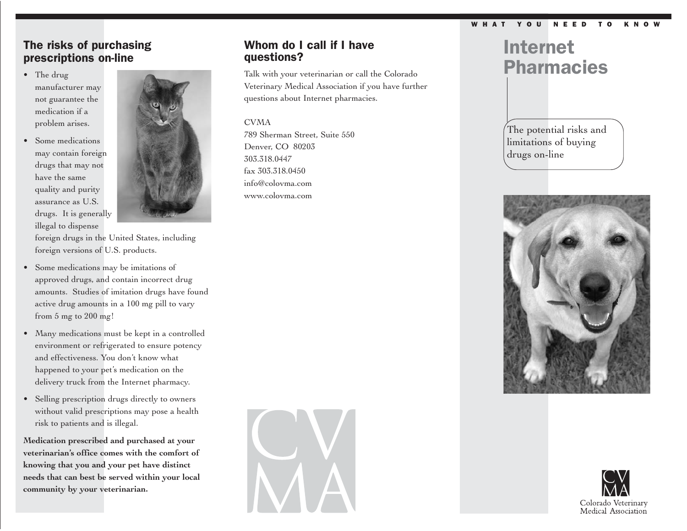#### WHAT YOU NEED TO KNO

## The risks of purchasing prescriptions on-line

- The drug manufacturer may not guarantee the medication if a problem arises.
- Some medications may contain foreign drugs that may not have the same quality and purity assurance as U.S. drugs. It is generally illegal to dispense



foreign drugs in the United States, including foreign versions of U.S. products.

- Some medications may be imitations of approved drugs, and contain incorrect drug amounts. Studies of imitation drugs have found active drug amounts in a 100 mg pill to vary from 5 mg to 200 mg!
- Many medications must be kept in a controlled environment or refrigerated to ensure potency and effectiveness. You don't know what happened to your pet's medication on the delivery truck from the Internet pharmacy.
- Selling prescription drugs directly to owners without valid prescriptions may pose a health risk to patients and is illegal.

**Medication prescribed and purchased at your veterinarian's office comes with the comfort of knowing that you and your pet have distinct needs that can best be served within your local community by your veterinarian.**

## Whom do I call if I have questions?

Talk with your veterinarian or call the Colorado Veterinary Medical Association if you have further questions about Internet pharmacies.

### CVMA

789 Sherman Street, Suite 550 Denver, CO 80203 303.318.0447 fax 303.318.0450 info@colovma.com www.colovma.com



The potential risks and limitations of buying drugs on-line